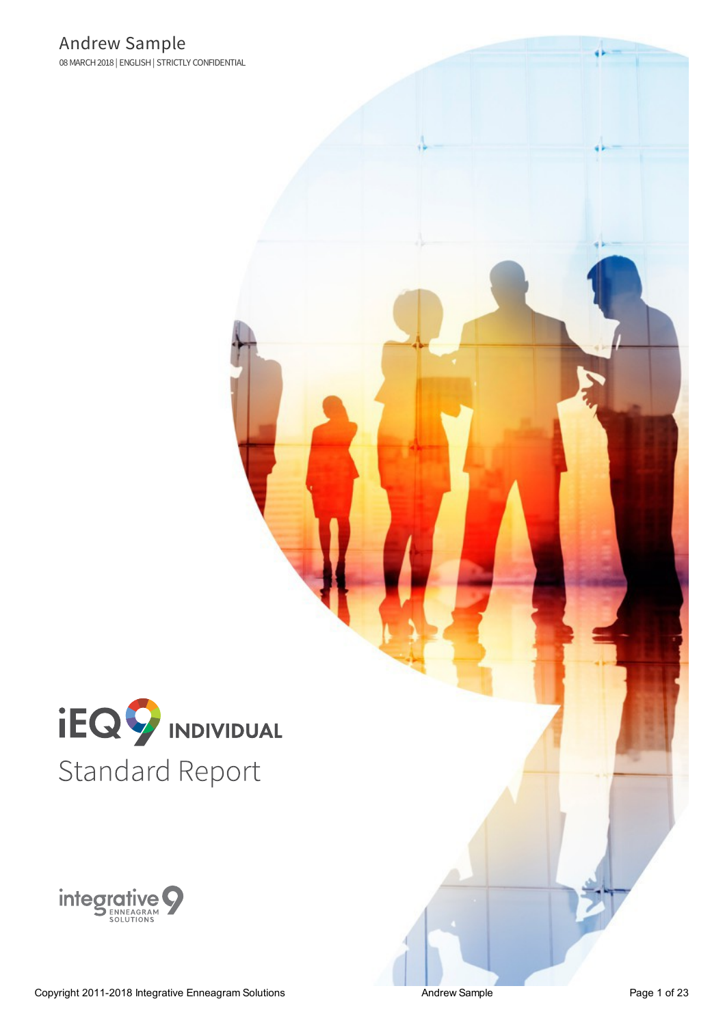

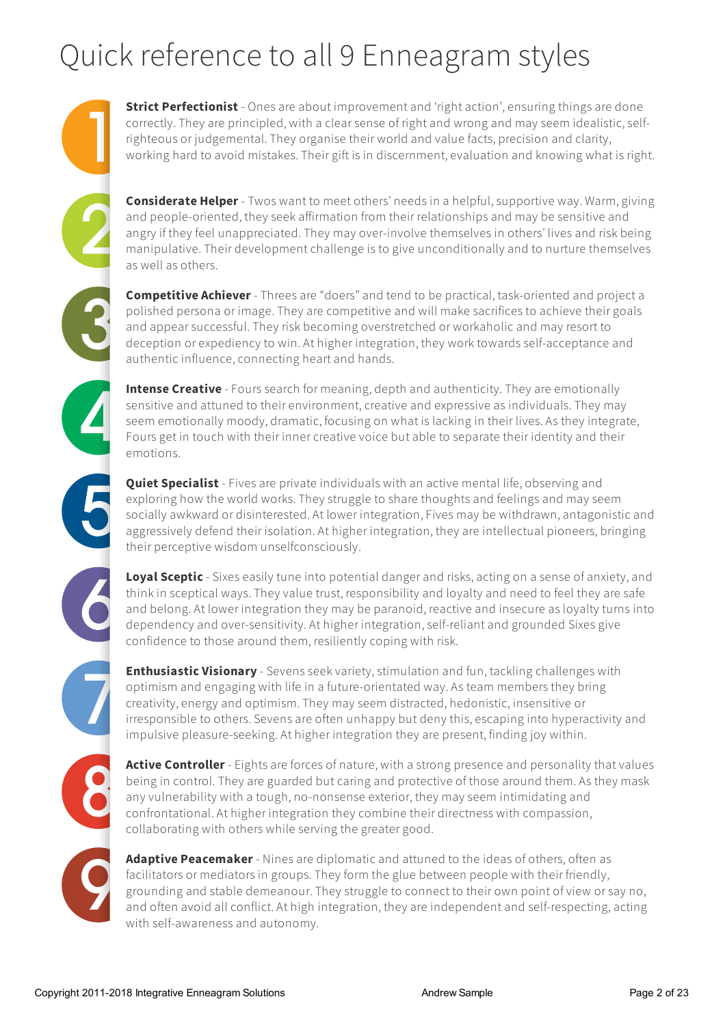# Quick reference to all 9 Enneagram styles

**Strict Perfectionist** - Ones are about improvement and 'right action', ensuring things are done correctly. They are principled, with a clear sense of right and wrong and may seem idealistic, selfrighteous or judgemental. They organise their world and value facts, precision and clarity, working hard to avoid mistakes. Their gift is in discernment, evaluation and knowing what is right.

**Considerate Helper** - Twos want to meet others' needs in a helpful, supportive way. Warm,giving and people-oriented, they seekaffirmation from their relationshipsand may be sensitive and angry if they feel unappreciated. They may over-involve themselves in others' lives and risk being manipulative. Their development challenge is to give unconditionally and to nurture themselves as well as others.

**Competitive Achiever** - Threes are "doers" and tend to be practical, task-oriented and project a polished persona or image. They are competitive and will make sacrifices to achieve theirgoals and appear successful. They risk becoming overstretched or workaholicand may resort to deception or expediency to win. At higher integration, they work towards self-acceptance and authentic influence, connecting heart and hands.

**Intense Creative** - Fours search for meaning, depth and authenticity. They are emotionally sensitive and attuned to their environment, creative and expressive as individuals. They may seem emotionally moody, dramatic, focusing on what is lacking in their lives. As they integrate, Fours get in touch with their inner creative voice but able to separate their identity and their emotions.

**Quiet Specialist** - Fives are private individuals with an active mental life, observing and exploring how the world works. They struggle to share thoughts and feelings and may seem socially awkward or disinterested. At lower integration, Fives may be withdrawn, antagonistic and aggressively defend their isolation. At higher integration, they are intellectual pioneers, bringing their perceptive wisdom unselfconsciously.

**Loyal Sceptic** - Sixes easily tune into potential danger and risks, acting on a sense of anxiety, and think in sceptical ways. They value trust, responsibility and loyalty and need to feel they are safe and belong. At lower integration they may be paranoid, reactive and insecure as loyalty turns into dependency and over-sensitivity. At higher integration, self-reliant and grounded Sixes give confidence to those around them, resiliently coping with risk.

**Enthusiastic Visionary** - Sevens seekvariety, stimulation and fun, tackling challenges with optimism and engaging with life in a future-orientated way. As team members they bring creativity,energy and optimism. They may seem distracted, hedonistic, insensitive or irresponsible to others. Sevens are often unhappy but deny this, escaping into hyperactivity and impulsive pleasure-seeking. At higher integration they are present, finding joy within.

Active Controller - Eights are forces of nature, with a strong presence and personality that values being in control. They are guarded but caring and protective of those around them. As they mask any vulnerability with a tough, no-nonsense exterior, they may seem intimidating and confrontational. At higher integration they combine their directness with compassion, collaborating with others while serving the greater good.

**Adaptive Peacemaker** - Nines are diplomatic and attuned to the ideas of others, often as facilitators or mediators in groups. They form the glue between people with their friendly, grounding and stable demeanour. They struggle to connect to their own point ofview or say no, and often avoid all conflict. At high integration, they are independent and self-respecting, acting with self-awarenessand autonomy.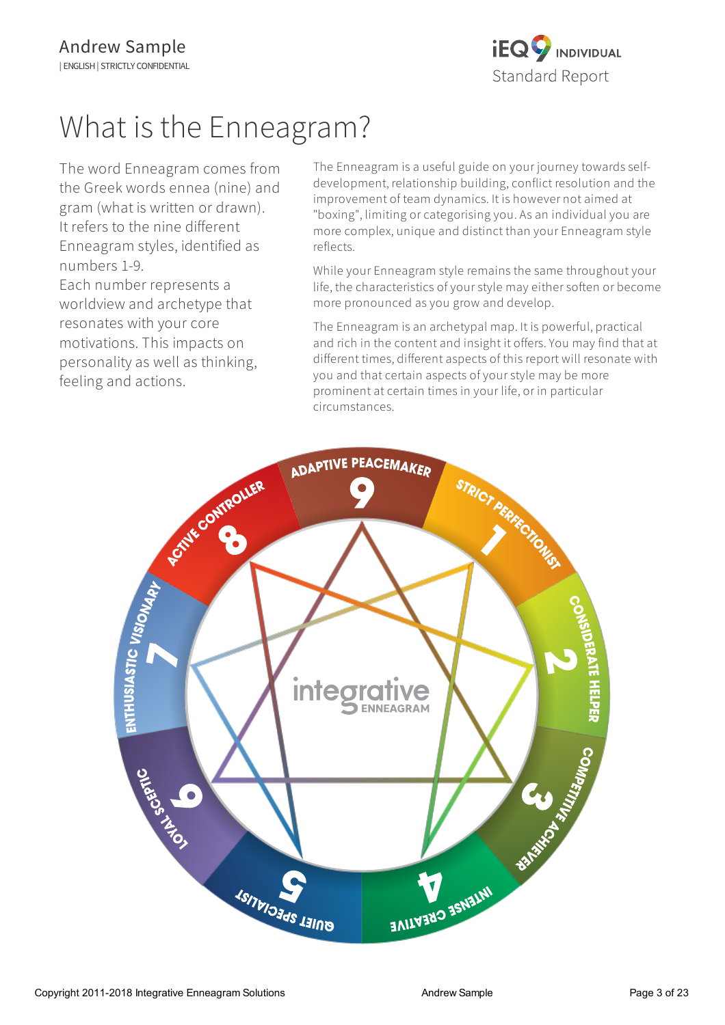

# What is the Enneagram?

The word Enneagram comes from the Greek words ennea (nine) and gram (what is written or drawn). It refers to the nine different Enneagram styles, identified as numbers 1-9.

Each number represents a worldview and archetype that resonates with your core motivations. This impacts on personality as well as thinking, feeling and actions.

The Enneagram is a useful guide on your journey towards selfdevelopment, relationship building, conflict resolution and the improvement of team dynamics. It is however not aimed at "boxing", limiting or categorising you. As an individual you are more complex, unique and distinct than your Enneagram style reflects.

While your Enneagram style remains the same throughout your life, the characteristics of your style may either soften or become more pronounced as you grow and develop.

The Enneagram is an archetypal map. It is powerful, practical and rich in the content and insight it offers. You may find that at different times, different aspects of this report will resonate with you and that certain aspects of your style may be more prominent at certain times in your life, or in particular circumstances.

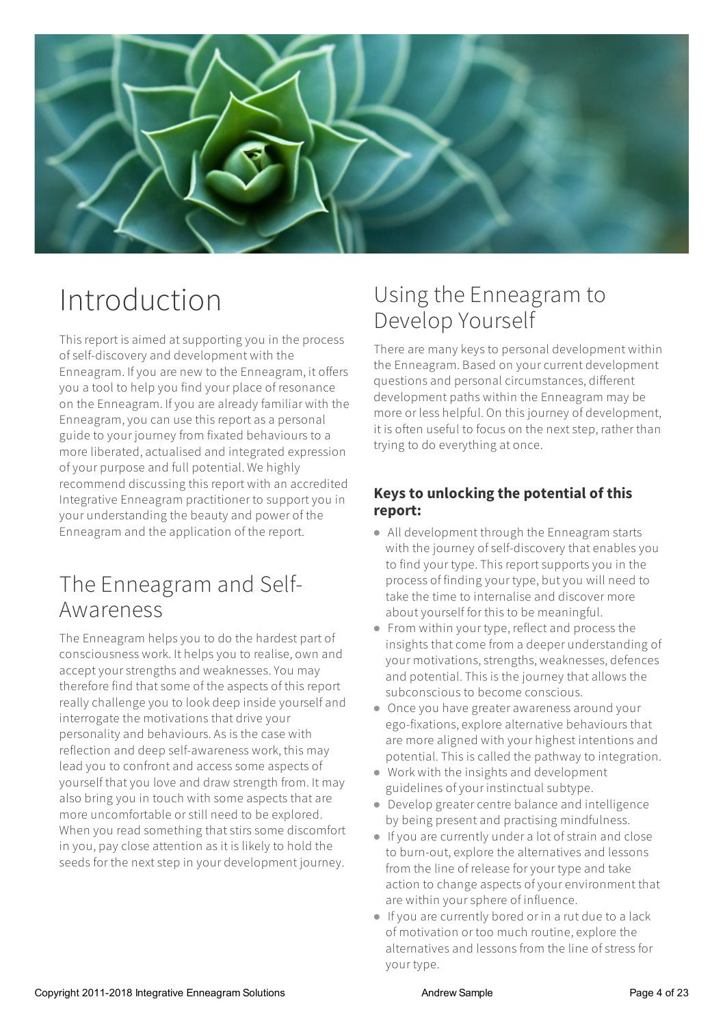

# Introduction

This report is aimed at supporting you in the process of self-discovery and development with the Enneagram. Ifyou are new to the Enneagram, it offers you a tool to help you find your place of resonance on the Enneagram. Ifyou are already familiar with the Enneagram, you can use this report as a personal guide to your journey from fixated behaviours to a more liberated, actualised and integrated expression ofyour purpose and full potential. We highly recommend discussing this report with an accredited Integrative Enneagram practitioner to supportyou in your understanding the beauty and power of the Enneagram and the application of the report.

# The Enneagram and Self-Awareness

The Enneagram helps you to do the hardest part of consciousness work. It helps you to realise, own and accept your strengths and weaknesses. You may therefore find that some of the aspects of this report really challenge you to look deep inside yourselfand interrogate the motivations that drive your personality and behaviours. As is the case with reflection and deep self-awareness work, this may lead you to confront and access some aspects of yourself thatyou love and draw strength from. It may also bring you in touch with some aspects that are more uncomfortable or still need to be explored. When you read something that stirs some discomfort in you, pay close attention as it is likely to hold the seeds for the next step in your development journey.

# Using the Enneagram to Develop Yourself

There are many keys to personal development within the Enneagram. Based on your current development questionsand personal circumstances, different development paths within the Enneagram may be more or less helpful. On this journey of development, it is often useful to focus on the next step, rather than trying to do everything at once.

# **Keysto unlocking the potential of this report:**

- All development through the Enneagram starts with the journey of self-discovery that enables you to find your type. This report supports you in the process of finding your type, butyou will need to take the time to internalise and discover more aboutyourself for this to be meaningful.
- From within your type, reflect and process the insights that come from a deeper understanding of your motivations, strengths, weaknesses, defences and potential. This is the journey that allows the subconscious to become conscious.
- Once you have greater awareness around your ego-fixations, explore alternative behaviours that are more aligned with your highest intentions and potential. This is called the pathway to integration.
- Work with the insightsand development guidelines ofyour instinctual subtype.
- Develop greatercentre balance and intelligence by being present and practising mindfulness.
- Ifyou are currently undera lot of strain and close to burn-out, explore the alternatives and lessons from the line of release foryour type and take action to change aspects of your environment that are within your sphere of influence.
- Ifyou are currently bored or in a rut due to a lack of motivation or too much routine,explore the alternatives and lessons from the line of stress for your type.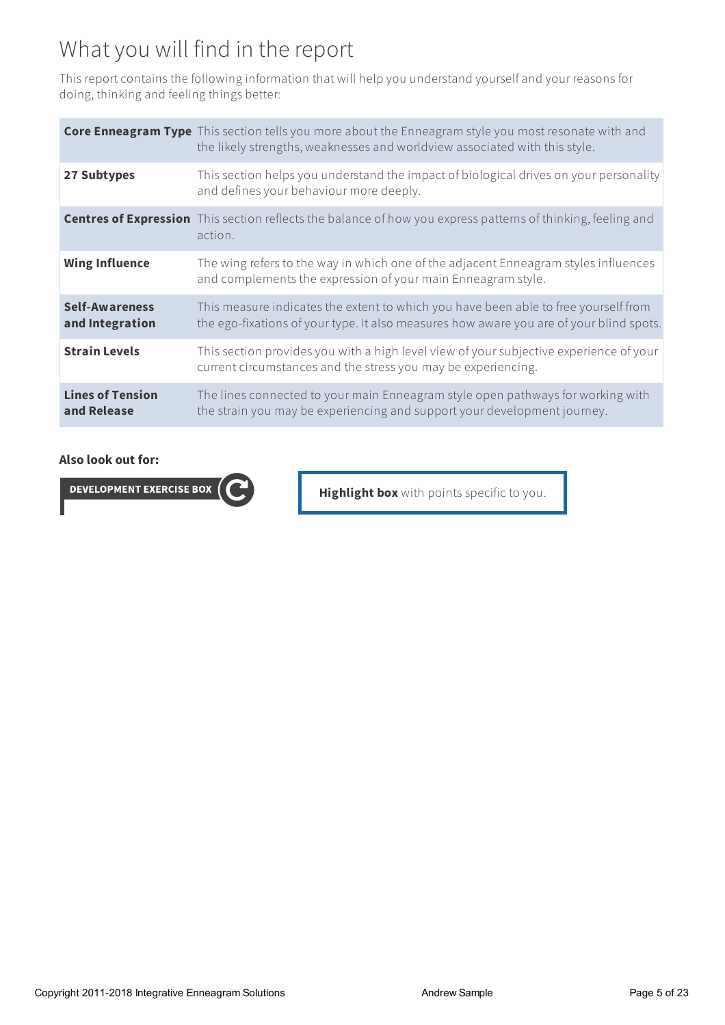# What you will find in the report

This report contains the following information that will help you understand yourself and your reasons for doing, thinking and feeling things better:

|                                          | <b>Core Enneagram Type</b> This section tells you more about the Enneagram style you most resonate with and<br>the likely strengths, weaknesses and worldview associated with this style. |
|------------------------------------------|-------------------------------------------------------------------------------------------------------------------------------------------------------------------------------------------|
| 27 Subtypes                              | This section helps you understand the impact of biological drives on your personality<br>and defines your behaviour more deeply.                                                          |
|                                          | <b>Centres of Expression</b> This section reflects the balance of how you express patterns of thinking, feeling and<br>action.                                                            |
| <b>Wing Influence</b>                    | The wing refers to the way in which one of the adjacent Enneagram styles influences<br>and complements the expression of your main Enneagram style.                                       |
| <b>Self-Awareness</b><br>and Integration | This measure indicates the extent to which you have been able to free yourself from<br>the ego-fixations of your type. It also measures how aware you are of your blind spots.            |
| <b>Strain Levels</b>                     | This section provides you with a high level view of your subjective experience of your<br>current circumstances and the stress you may be experiencing.                                   |
| <b>Lines of Tension</b><br>and Release   | The lines connected to your main Enneagram style open pathways for working with<br>the strain you may be experiencing and support your development journey.                               |

#### **Also look out for:**

**DEVELOPMENT EXERCISE BOX** 

**Highlight box** with points specific to you.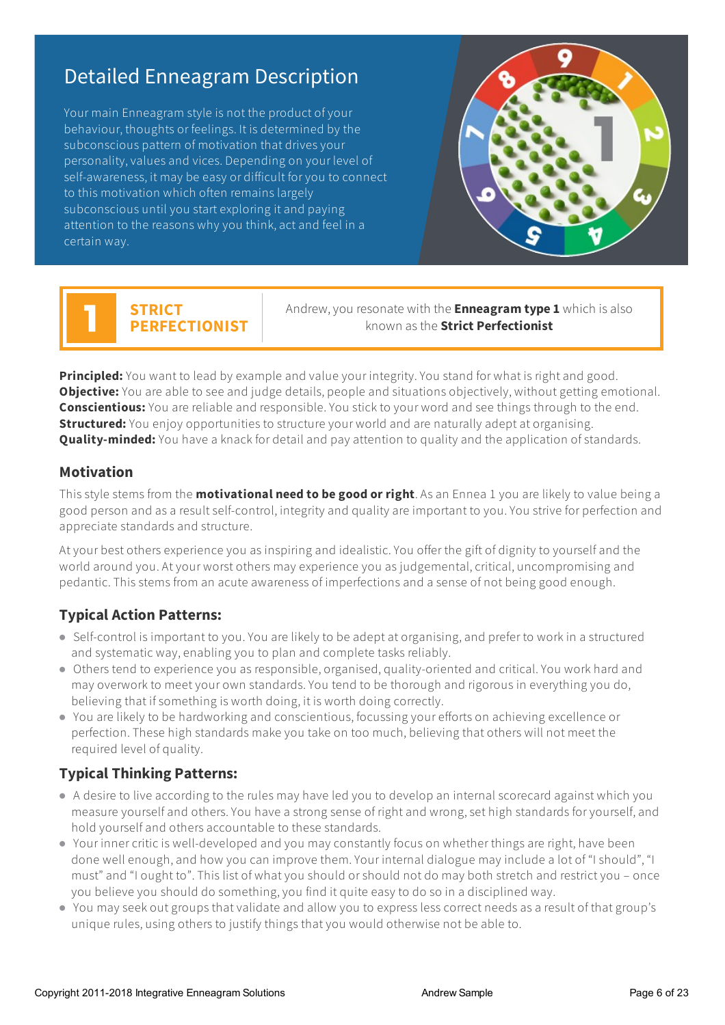# Detailed Enneagram Description

Your main Enneagram style is not the product of your behaviour, thoughts or feelings. It is determined by the subconscious pattern of motivation that drives your personality, values and vices. Depending on your level of self-awareness, it may be easy or difficult foryou to connect to this motivation which often remains largely subconscious until you start exploring it and paying attention to the reasons why you think,actand feel in a certain way.



# **STRICT PERFECTIONIST**

Andrew,you resonate with the **Enneagramtype 1** which isalso known as the **Strict Perfectionist**

**Principled:** You want to lead by example and value your integrity. You stand for what is right and good. **Objective:** You are able to see and judge details, people and situations objectively, without getting emotional. **Conscientious:** You are reliable and responsible. You stick to your word and see things through to the end. **Structured:** You enjoy opportunities to structure your world and are naturally adept at organising. **Quality-minded:** You have a knack for detail and pay attention to quality and the application of standards.

## **Motivation**

This style stems from the **motivational need to be good or right**. Asan Ennea 1 you are likely to value being a good person and asa result self-control, integrity and quality are important to you.You strive for perfection and appreciate standards and structure.

At your best others experience you as inspiring and idealistic. You offer the gift of dignity to yourself and the world around you. At your worst others may experience you as judgemental, critical, uncompromising and pedantic. This stems from an acute awareness of imperfections and a sense of not being good enough.

# **Typical Action Patterns:**

- Self-control is important to you. You are likely to be adept at organising, and prefer to work in a structured and systematic way,enabling you to plan and complete tasks reliably.
- Others tend to experience you as responsible, organised, quality-oriented and critical.You work hard and may overworkto meetyour own standards.You tend to be thorough and rigorous in everything you do, believing that if something is worth doing, it is worth doing correctly.
- You are likely to be hardworking and conscientious, focussing your efforts on achieving excellence or perfection. These high standards make you take on too much, believing that others will not meet the required level of quality.

# **Typical Thinking Patterns:**

- A desire to live according to the rules may have led you to develop an internal scorecard against which you measure yourself and others. You have a strong sense of right and wrong, set high standards for yourself, and hold yourself and others accountable to these standards.
- Your inner critic is well-developed and you may constantly focus on whether things are right, have been done well enough, and how you can improve them. Your internal dialogue may include a lot of "I should", "I must" and "I ought to". This list of what you should or should not do may both stretch and restrict you - once you believe you should do something,you find it quite easy to do so in a disciplined way.
- You may seek out groups that validate and allow you to express less correct needs as a result of that group's unique rules, using others to justify things thatyou would otherwise not be able to.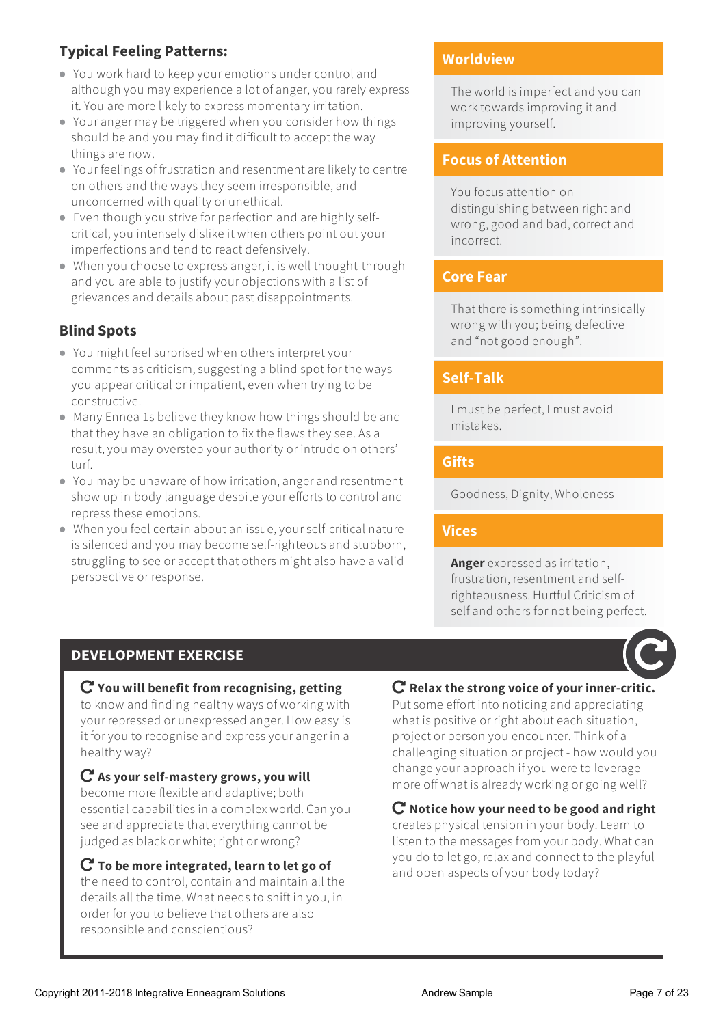# **Typical Feeling Patterns:**

- You work hard to keep your emotions under control and although you may experience a lot of anger, you rarely express it.You are more likely to express momentary irritation.
- Your anger may be triggered when you consider how things should be and you may find it difficult to accept the way things are now.
- Your feelings of frustration and resentment are likely to centre on others and the ways they seem irresponsible, and unconcerned with quality or unethical.
- Even though you strive for perfection and are highly selfcritical,you intensely dislike it when others point outyour imperfections and tend to react defensively.
- When you choose to expressanger, it is well thought-through and you are able to justify your objections with a list of grievancesand detailsabout past disappointments.

# **Blind Spots**

- You might feel surprised when others interpret your comments as criticism, suggesting a blind spot for the ways you appear critical or impatient, even when trying to be constructive.
- Many Ennea 1s believe they know how things should be and that they have an obligation to fix the flaws they see. As a result, you may overstep your authority or intrude on others' turf.
- You may be unaware of how irritation, anger and resentment show up in body language despite yourefforts to controland repress these emotions.
- When you feel certain about an issue, your self-critical nature is silenced and you may become self-righteous and stubborn, struggling to see or accept that others might also have a valid perspective or response.

# **Worldview**

The world is imperfect and you can work towards improving it and improving yourself.

# **Focus of Attention**

You focusattention on distinguishing between right and wrong, good and bad, correct and incorrect.

## **Core Fear**

That there is something intrinsically wrong with you; being defective and "not good enough".

# **Self-Talk**

I must be perfect, I must avoid mistakes.

# **Gifts**

Goodness, Dignity, Wholeness

## **Vices**

**Anger** expressed as irritation, frustration, resentment and selfrighteousness. Hurtful Criticism of self and others for not being perfect.

# **DEVELOPMENT EXERCISE**

#### **You will benefit from recognising, getting** to know and finding healthy ways of working with your repressed or unexpressed anger. How easy is it foryou to recognise and express youranger in a healthy way?

 **As your self-mastery grows, you will** become more flexible and adaptive; both essential capabilities in a complex world. Can you see and appreciate that everything cannot be judged as black or white; right or wrong?

 **To be more integrated, learn to let go of** the need to control, contain and maintain all the detailsall the time. What needs to shift in you, in order for you to believe that others are also responsible and conscientious?

## **Relax the strong voice of your inner-critic.**

Put some effort into noticing and appreciating what is positive or right about each situation, project or person you encounter. Think ofa challenging situation or project - how would you change yourapproach ifyou were to leverage more off what is already working or going well?

## **Notice how your need to be good and right**

creates physical tension in your body.Learn to listen to the messages from your body. What can you do to letgo, relaxand connect to the playful and open aspects of your body today?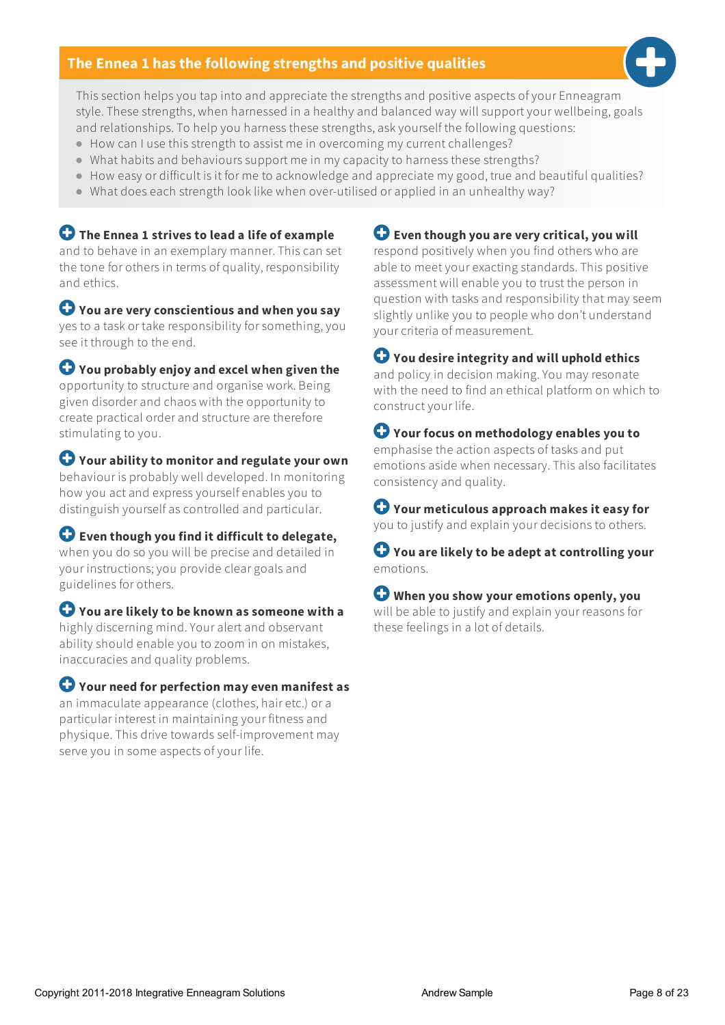### **The Ennea 1 hasthe following strengths and positive qualities**



This section helps you tap into and appreciate the strengthsand positive aspects ofyour Enneagram style. These strengths, when harnessed in a healthy and balanced way will support your wellbeing, goals and relationships. To help you harness these strengths, ask yourself the following questions:

- How can I use this strength to assist me in overcoming my current challenges?
- What habits and behaviours support me in my capacity to harness these strengths?
- How easy or difficult is it for me to acknowledge and appreciate my good, true and beautiful qualities?
- $\bullet$  What does each strength look like when over-utilised or applied in an unhealthy way?

 **The Ennea 1 strives to lead a life of example** and to behave in an exemplary manner. This can set the tone for others in terms of quality, responsibility and ethics.

 **You are very conscientious and when you say** yes to a task or take responsibility for something,you see it through to the end.

 **You probably enjoy and excel when given the** opportunity to structure and organise work. Being given disorderand chaos with the opportunity to create practical orderand structure are therefore stimulating to you.

 **Your ability to monitor and regulate your own** behaviour is probably well developed. In monitoring how you act and express yourself enables you to distinguish yourselfas controlled and particular.

 **Even though you find it difficult to delegate,** when you do so you will be precise and detailed in your instructions;you provide cleargoalsand guidelines for others.

 **You are likely to be known as someone with a** highly discerning mind.Youralertand observant ability should enable you to zoom in on mistakes, inaccuracies and quality problems.

 **Your need for perfection may even manifest as** an immaculate appearance (clothes, hairetc.) ora particular interest in maintaining your fitness and physique. This drive towards self-improvement may serve you in some aspects of your life.

 **Even though you are very critical, you will** respond positively when you find others who are able to meet your exacting standards. This positive assessment willenable you to trust the person in question with tasksand responsibility that may seem slightly unlike you to people who don't understand yourcriteria of measurement.

 **You desire integrity and will uphold ethics** and policy in decision making.You may resonate with the need to find an ethical platform on which to construct your life.

 **Your focus on methodology enables you to** emphasise the action aspects of tasksand put emotions aside when necessary. This also facilitates consistency and quality.

 **Your meticulous approach makes it easy for** you to justify and explain your decisions to others.

 **You are likely to be adept at controlling your** emotions.

 **When you show your emotions openly, you** will be able to justify and explain your reasons for these feelings in a lot of details.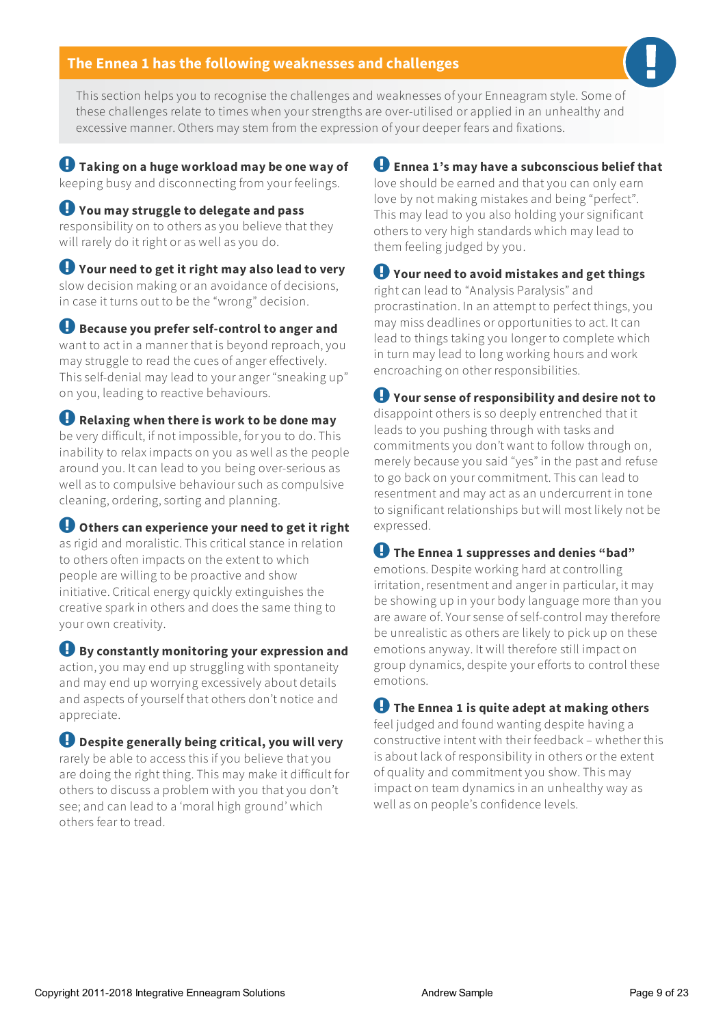#### **The Ennea 1 hasthe following weaknesses and challenges**

This section helps you to recognise the challenges and weaknesses of your Enneagram style. Some of these challenges relate to times when your strengths are over-utilised or applied in an unhealthy and excessive manner. Others may stem from the expression ofyour deeper fearsand fixations.

 **Taking on a huge workload may be one way of** keeping busy and disconnecting from your feelings.

 **You may struggle to delegate and pass** responsibility on to others as you believe that they will rarely do it right or as well as you do.

 **Your need to get it right may also lead to very** slow decision making or an avoidance of decisions, in case it turns out to be the "wrong" decision.

 **Because you prefer self-control to anger and** want to act in a manner that is beyond reproach,you may struggle to read the cues of anger effectively. This self-denial may lead to youranger "sneaking up" on you, leading to reactive behaviours.

 **Relaxing when there is work to be done may** be very difficult, if not impossible, foryou to do. This inability to relax impacts on you as well as the people around you. It can lead to you being over-serious as wellas to compulsive behaviour such as compulsive cleaning, ordering, sorting and planning.

 **Others can experience your need to get it right** as rigid and moralistic. This critical stance in relation to others often impacts on the extent to which people are willing to be proactive and show initiative. Critical energy quickly extinguishes the creative spark in others and does the same thing to your own creativity.

 **By constantly monitoring your expression and** action,you may end up struggling with spontaneity and may end up worrying excessively about details and aspects ofyourself that others don't notice and appreciate.

 **Despite generally being critical, you will very** rarely be able to access this if you believe that you are doing the right thing. This may make it difficult for others to discussa problem with you thatyou don't see;and can lead to a 'moral high ground' which others fear to tread.

**Ennea 1's may have a subconscious belief that**

love should be earned and thatyou can only earn love by not making mistakes and being "perfect". This may lead to you also holding your significant others to very high standards which may lead to them feeling judged by you.

 **Your need to avoid mistakes and get things** right can lead to "Analysis Paralysis" and procrastination. In an attempt to perfect things,you may miss deadlines or opportunities to act. Itcan lead to things taking you longer to complete which in turn may lead to long working hours and work encroaching on other responsibilities.

 **Your sense of responsibility and desire not to** disappoint others is so deeply entrenched that it leads to you pushing through with tasksand commitments you don't want to follow through on, merely because you said "yes" in the pastand refuse to go back on yourcommitment. This can lead to resentment and may act as an undercurrent in tone to significant relationships but will most likely not be expressed.

**The Ennea 1 suppresses and denies "bad"**

emotions. Despite working hard at controlling irritation, resentment and anger in particular, it may be showing up in your body language more than you are aware of.Your sense of self-control may therefore be unrealistic as others are likely to pick up on these emotionsanyway. It will therefore still impact on group dynamics, despite yourefforts to control these emotions.

**The Ennea 1 is quite adept at making others**

feel judged and found wanting despite having a constructive intent with their feedback– whether this isabout lack of responsibility in others or the extent of quality and commitmentyou show. This may impact on team dynamics in an unhealthy way as wellas on people's confidence levels.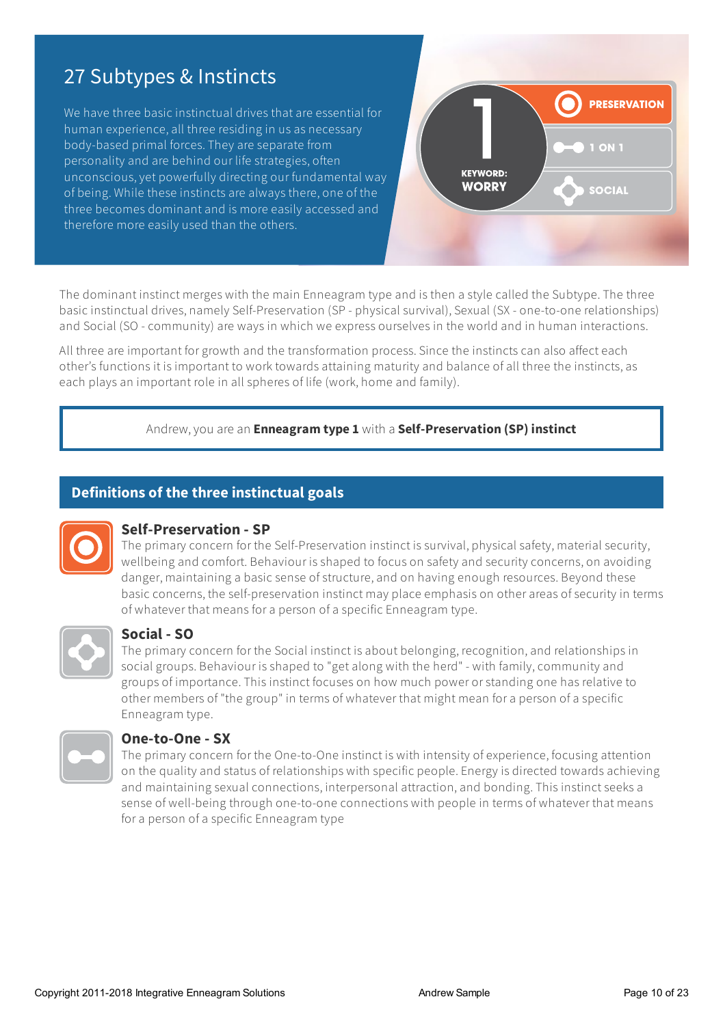# 27 Subtypes & Instincts

We have three basic instinctual drives that are essential for human experience, all three residing in us as necessary body-based primal forces. They are separate from personality and are behind our life strategies, often unconscious,yet powerfully directing our fundamental way of being. While these instincts are always there, one of the three becomes dominant and is more easily accessed and therefore more easily used than the others.



The dominant instinct merges with the main Enneagram type and is then a style called the Subtype. The three basic instinctual drives, namely Self-Preservation (SP - physical survival), Sexual (SX - one-to-one relationships) and Social (SO - community) are ways in which we express ourselves in the world and in human interactions.

All three are important for growth and the transformation process. Since the instincts can also affect each other's functions it is important to work towards attaining maturity and balance of all three the instincts, as each plays an important role in all spheres of life (work, home and family).

#### Andrew, you are an **Enneagram type 1** with a **Self-Preservation (SP) instinct**

### **Definitions of the three instinctual goals**



#### **Self-Preservation - SP**

The primary concern for the Self-Preservation instinct is survival, physical safety, material security, wellbeing and comfort. Behaviour is shaped to focus on safety and security concerns, on avoiding danger, maintaining a basic sense of structure, and on having enough resources. Beyond these basic concerns, the self-preservation instinct may place emphasis on otherareas of security in terms of whatever that means for a person of a specific Enneagram type.



#### **Social - SO**

The primary concern for the Social instinct is about belonging, recognition, and relationships in social groups. Behaviour is shaped to "get along with the herd" - with family, community and groups of importance. This instinct focuses on how much power or standing one has relative to other members of "the group" in terms of whatever that might mean for a person of a specific Enneagram type.



#### **One-to-One - SX**

The primary concern for the One-to-One instinct is with intensity ofexperience, focusing attention on the quality and status of relationships with specific people. Energy is directed towards achieving and maintaining sexual connections, interpersonalattraction,and bonding. This instinct seeksa sense of well-being through one-to-one connections with people in terms of whatever that means for a person of a specific Enneagram type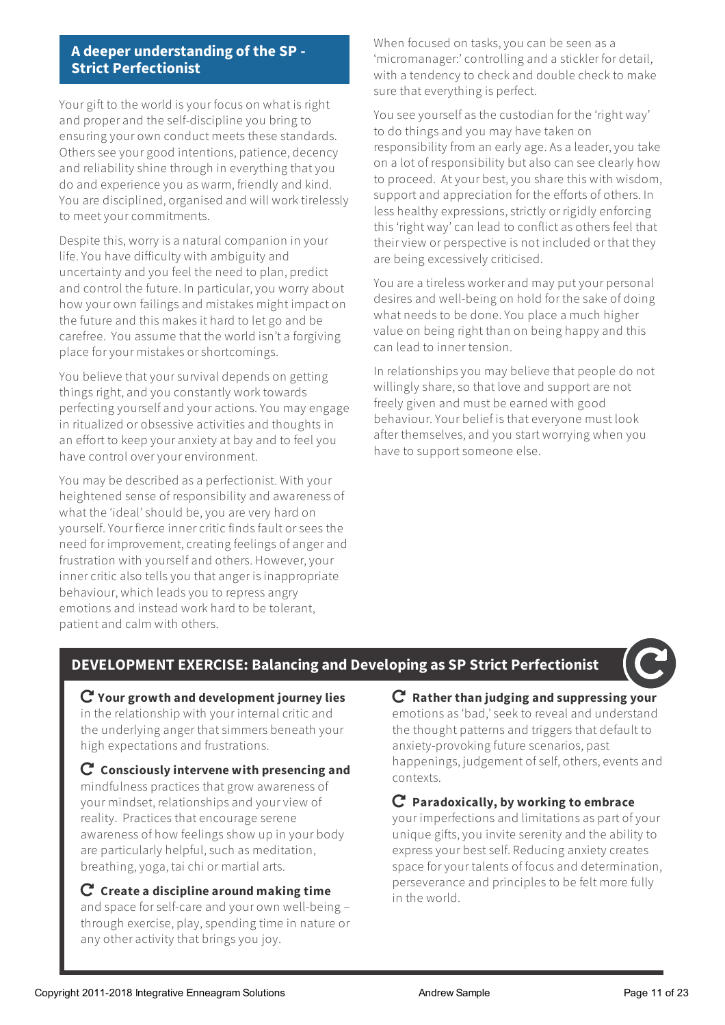#### **A deeper understanding of the SP - Strict Perfectionist**

Your gift to the world is your focus on what is right and properand the self-discipline you bring to ensuring your own conduct meets these standards. Others see your good intentions, patience, decency and reliability shine through in everything that you do and experience you as warm, friendly and kind. You are disciplined, organised and will work tirelessly to meet your commitments.

Despite this, worry is a natural companion in your life.You have difficulty with ambiguity and uncertainty and you feel the need to plan, predict and control the future. In particular, you worry about how your own failings and mistakes might impact on the future and this makes it hard to letgo and be carefree. You assume that the world isn'ta forgiving place foryour mistakes or shortcomings.

You believe that your survival depends on getting things right, and you constantly work towards perfecting yourselfand youractions.You may engage in ritualized or obsessive activities and thoughts in an effort to keep youranxiety at bay and to feel you have control overyourenvironment.

You may be described as a perfectionist. With your heightened sense of responsibility and awareness of what the 'ideal' should be,you are very hard on yourself.Your fierce innercritic finds fault or sees the need for improvement, creating feelings of anger and frustration with yourselfand others. However,your inner critic also tells you that anger is inappropriate behaviour, which leads you to repressangry emotionsand instead work hard to be tolerant, patient and calm with others.

When focused on tasks, you can be seen as a 'micromanager:'controlling and a stickler for detail, with a tendency to check and double check to make sure that everything is perfect.

You see yourself as the custodian for the 'right way' to do things and you may have taken on responsibility from an early age. As a leader, you take on a lot of responsibility but also can see clearly how to proceed. Atyour best,you share this with wisdom, support and appreciation for the efforts of others. In less healthy expressions, strictly or rigidly enforcing this 'right way' can lead to conflict as others feel that their view or perspective is not included or that they are being excessively criticised.

You are a tireless worker and may put your personal desires and well-being on hold for the sake of doing what needs to be done.You place a much higher value on being right than on being happy and this can lead to inner tension.

In relationships you may believe that people do not willingly share, so that love and support are not freely given and must be earned with good behaviour. Your belief is that everyone must look after themselves,and you start worrying when you have to support someone else.

# **DEVELOPMENT EXERCISE: Balancing and Developing as SP Strict Perfectionist**

 **Your growth and development journey lies** in the relationship with your internal critic and the underlying anger that simmers beneath your high expectations and frustrations.

 **Consciously intervene with presencing and** mindfulness practices thatgrow awareness of your mindset, relationshipsand yourview of reality. Practices that encourage serene awareness of how feelings show up in your body are particularly helpful, such as meditation, breathing, yoga, tai chi or martial arts.

 **Create a discipline around making time** and space for self-care and your own well-being – through exercise, play, spending time in nature or any other activity that brings you joy.

 **Rather than judging and suppressing your** emotionsas 'bad,' seekto revealand understand the thought patterns and triggers that default to anxiety-provoking future scenarios, past happenings, judgement of self, others, events and contexts.

## **Paradoxically, by working to embrace**

your imperfections and limitations as part of your unique gifts, you invite serenity and the ability to express your best self. Reducing anxiety creates space for your talents of focus and determination, perseverance and principles to be felt more fully in the world.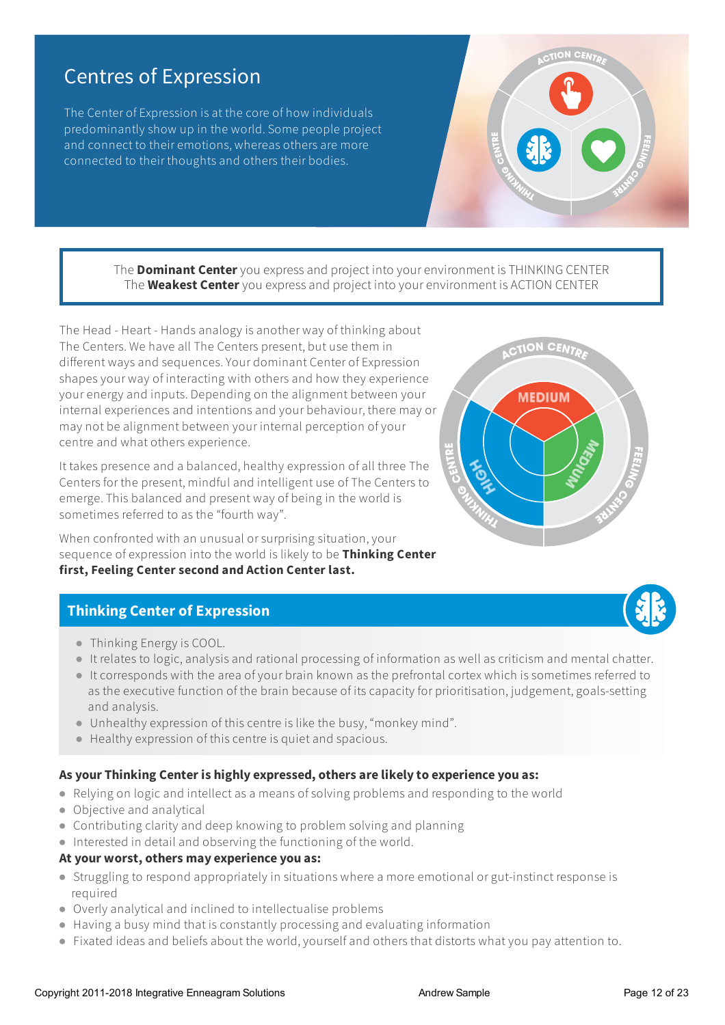# Centres of Expression

The Center of Expression is at the core of how individuals predominantly show up in the world. Some people project and connect to their emotions, whereas others are more connected to their thoughts and others their bodies.

> The **Dominant Center**you expressand project into yourenvironment is THINKING CENTER The **Weakest Center**you expressand project into yourenvironment is ACTION CENTER

The Head - Heart - Hands analogy is another way of thinking about The Centers. We have all The Centers present, but use them in different waysand sequences.Your dominant Center of Expression shapes your way of interacting with othersand how they experience yourenergy and inputs. Depending on the alignment between your internal experiences and intentions and your behaviour, there may or may not be alignment between your internal perception ofyour centre and what others experience.

It takes presence and a balanced, healthy expression of all three The Centers for the present, mindful and intelligent use of The Centers to emerge. This balanced and present way of being in the world is sometimes referred to as the "fourth way".

When confronted with an unusual or surprising situation,your sequence ofexpression into the world is likely to be **Thinking Center first, Feeling Center second and Action Center last.**

## **Thinking Center of Expression**

- Thinking Energy is COOL.
- It relates to logic,analysisand rational processing of information as wellas criticism and mental chatter.
- Itcorresponds with the area ofyour brain known as the prefrontal cortex which is sometimes referred to as the executive function of the brain because of its capacity for prioritisation, judgement, goals-setting and analysis.
- Unhealthy expression of this centre is like the busy, "monkey mind".
- Healthy expression of this centre is quietand spacious.

#### **As your Thinking Center is highly expressed, others are likely to experience you as:**

- Relying on logicand intellectasa means of solving problemsand responding to the world
- Objective and analytical
- Contributing clarity and deep knowing to problem solving and planning
- Interested in detailand observing the functioning of the world.

#### **At your worst, others may experience you as:**

- Struggling to respond appropriately in situations where a more emotional orgut-instinct response is required
- Overly analyticaland inclined to intellectualise problems
- Having a busy mind that is constantly processing and evaluating information
- Fixated ideas and beliefs about the world, yourself and others that distorts what you pay attention to.



**MEDIUM** 



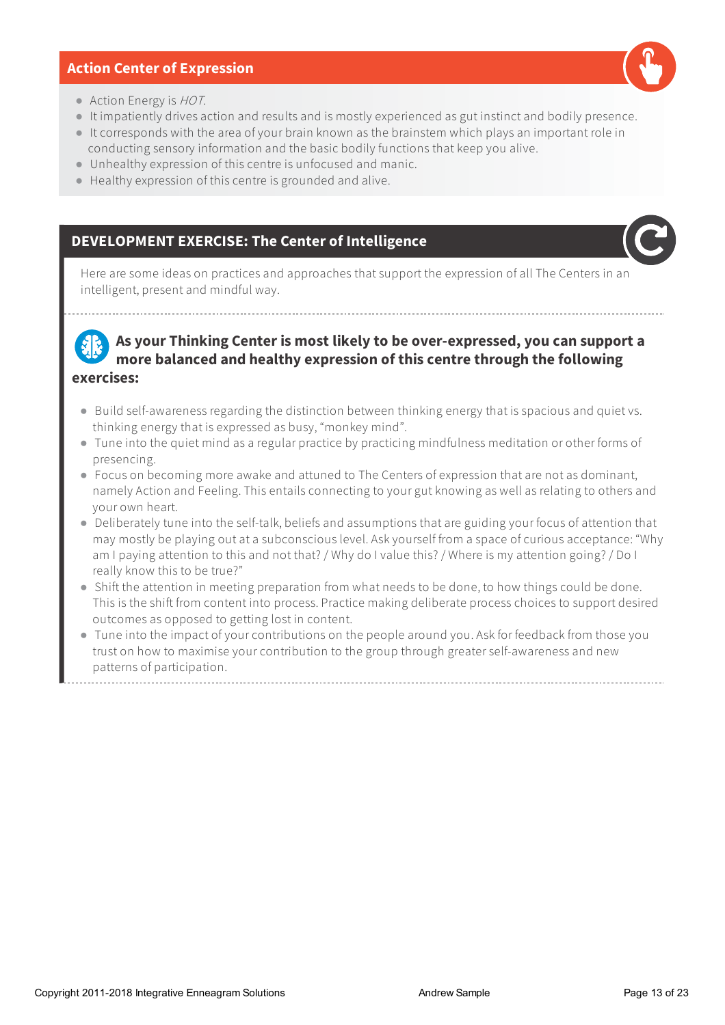#### **Action Center of Expression**



- Action Energy is *HOT*.
- It impatiently drives action and results and is mostly experienced as gut instinct and bodily presence.
- Itcorresponds with the area ofyour brain known as the brainstem which playsan important role in conducting sensory information and the basic bodily functions thatkeep you alive.
- Unhealthy expression of this centre is unfocused and manic.
- Healthy expression of this centre isgrounded and alive.

### **DEVELOPMENT EXERCISE: The Center of Intelligence**



Here are some ideas on practices and approaches that support the expression of all The Centers in an intelligent, present and mindful way.

**As your Thinking Center ismost likely to be over-expressed, you can support a more balanced and healthy expression of thiscentre through the following exercises:**

- Build self-awareness regarding the distinction between thinking energy that is spacious and quiet vs. thinking energy that isexpressed as busy, "monkey mind".
- Tune into the quiet mind as a regular practice by practicing mindfulness meditation or other forms of presencing.
- Focus on becoming more awake and attuned to The Centers of expression that are not as dominant, namely Action and Feeling. This entails connecting to your gut knowing as well as relating to others and your own heart.
- Deliberately tune into the self-talk, beliefs and assumptions that are guiding your focus of attention that may mostly be playing out at a subconscious level. Ask yourself from a space of curious acceptance: "Why am Ipaying attention to thisand not that? / Why do I value this? / Where is my attention going? / Do I really know this to be true?"
- Shift the attention in meeting preparation from what needs to be done, to how things could be done. This is the shift from content into process. Practice making deliberate process choices to support desired outcomes as opposed to getting lost in content.
- Tune into the impact of your contributions on the people around you. Ask for feedback from those you trust on how to maximise your contribution to the group through greater self-awareness and new patterns of participation.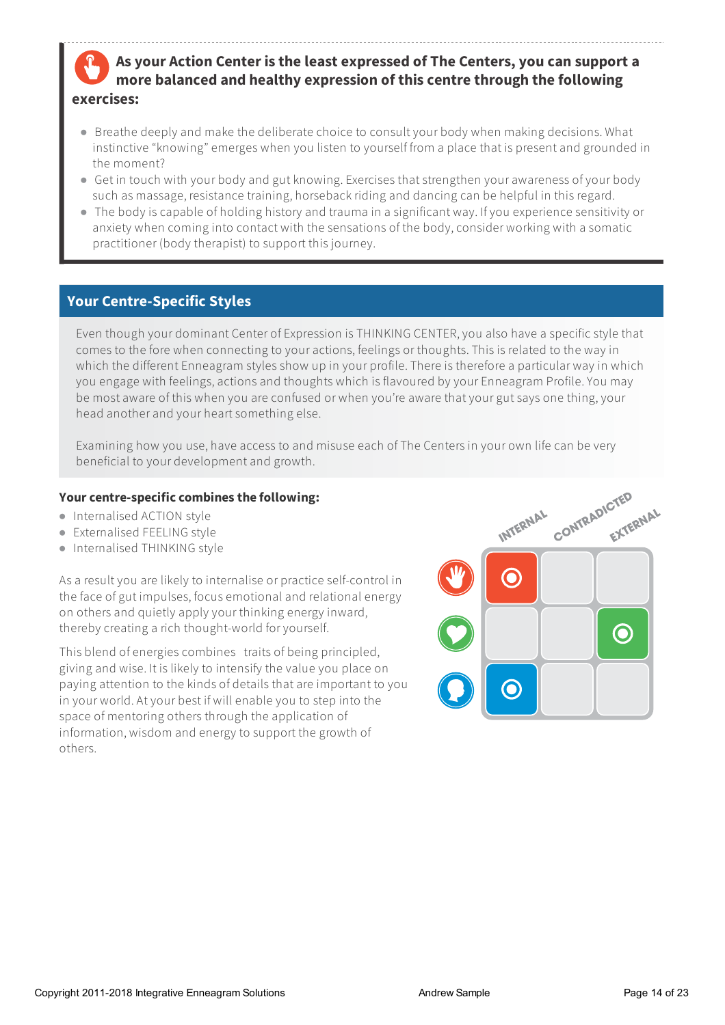# **As your Action Center isthe least expressed of The Centers, you can support a more balanced and healthy expression of thiscentre through the following exercises:**

- Breathe deeply and make the deliberate choice to consult your body when making decisions. What instinctive "knowing" emerges when you listen to yourself from a place that is present and grounded in the moment?
- Get in touch with your body and gut knowing. Exercises that strengthen your awareness of your body such as massage, resistance training, horseback riding and dancing can be helpful in this regard.
- The body is capable of holding history and trauma in a significant way. Ifyou experience sensitivity or anxiety when coming into contact with the sensations of the body, consider working with a somatic practitioner (body therapist) to support this journey.

# **Your Centre-Specific Styles**

Even though your dominant Center of Expression is THINKING CENTER, you also have a specific style that comes to the fore when connecting to youractions, feelings or thoughts. This is related to the way in which the different Enneagram styles show up in your profile. There is therefore a particular way in which you engage with feelings, actions and thoughts which is flavoured by your Enneagram Profile. You may be most aware of this when you are confused or when you're aware that your gut says one thing, your head another and your heart something else.

Examining how you use, have access to and misuse each of The Centers in your own life can be very beneficial to your developmentand growth.

#### **Your centre-specific combines the following:**

- Internalised ACTION style
- Externalised FEELING style
- Internalised THINKING style

As a result you are likely to internalise or practice self-control in the face of gut impulses, focus emotional and relational energy on othersand quietly apply your thinking energy inward, thereby creating a rich thought-world foryourself.

This blend ofenergies combines traits of being principled, giving and wise. It is likely to intensify the value you place on paying attention to the kinds of details thatare important to you in your world. At your best if will enable you to step into the space of mentoring others through the application of information, wisdom and energy to support the growth of others.

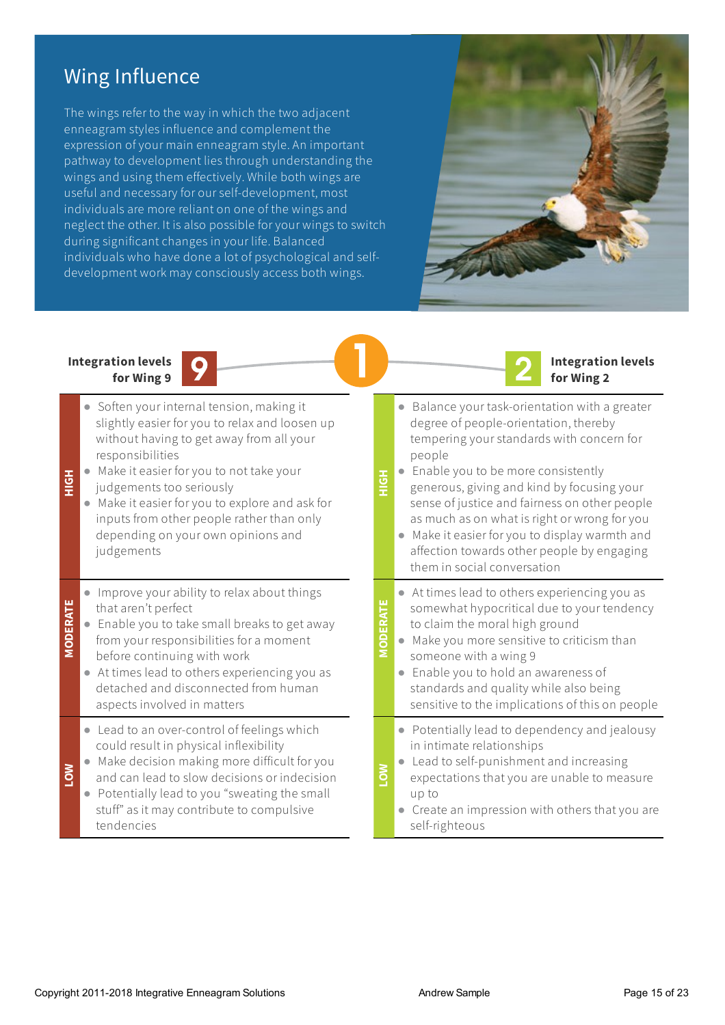# Wing Influence

The wings refer to the way in which the two adjacent enneagram styles influence and complement the expression ofyour main enneagram style. An important pathway to development lies through understanding the wings and using them effectively. While both wings are useful and necessary for our self-development, most individuals are more reliant on one of the wings and neglect the other. It is also possible for your wings to switch during significant changes in your life. Balanced individuals who have done a lot of psychological and selfdevelopment work may consciously access both wings.



**Integration levels**

**for Wing 2**

#### **Integration levels for Wing 9**

| $\frac{1}{2}$  | Soften your internal tension, making it<br>$\bullet$<br>slightly easier for you to relax and loosen up<br>without having to get away from all your<br>responsibilities<br>Make it easier for you to not take your<br>$\bullet$<br>judgements too seriously<br>Make it easier for you to explore and ask for<br>inputs from other people rather than only<br>depending on your own opinions and<br>judgements | <b>HOH</b>      | Balance your task-orientation with a greater<br>$\bullet$<br>degree of people-orientation, thereby<br>tempering your standards with concern for<br>people<br>Enable you to be more consistently<br>generous, giving and kind by focusing your<br>sense of justice and fairness on other people<br>as much as on what is right or wrong for you<br>Make it easier for you to display warmth and<br>affection towards other people by engaging<br>them in social conversation |
|----------------|--------------------------------------------------------------------------------------------------------------------------------------------------------------------------------------------------------------------------------------------------------------------------------------------------------------------------------------------------------------------------------------------------------------|-----------------|-----------------------------------------------------------------------------------------------------------------------------------------------------------------------------------------------------------------------------------------------------------------------------------------------------------------------------------------------------------------------------------------------------------------------------------------------------------------------------|
| <b>MODERAT</b> | Improve your ability to relax about things<br>that aren't perfect<br>Enable you to take small breaks to get away<br>from your responsibilities for a moment<br>before continuing with work<br>At times lead to others experiencing you as<br>$\bullet$<br>detached and disconnected from human<br>aspects involved in matters                                                                                | <b>MODERATE</b> | • At times lead to others experiencing you as<br>somewhat hypocritical due to your tendency<br>to claim the moral high ground<br>Make you more sensitive to criticism than<br>someone with a wing 9<br>Enable you to hold an awareness of<br>$\bullet$<br>standards and quality while also being<br>sensitive to the implications of this on people                                                                                                                         |
| $\mathbf{S}$   | • Lead to an over-control of feelings which<br>could result in physical inflexibility<br>Make decision making more difficult for you<br>and can lead to slow decisions or indecision<br>Potentially lead to you "sweating the small<br>$\bullet$<br>stuff" as it may contribute to compulsive<br>tendencies                                                                                                  | <b>NOT</b>      | Potentially lead to dependency and jealousy<br>in intimate relationships<br>Lead to self-punishment and increasing<br>expectations that you are unable to measure<br>up to<br>Create an impression with others that you are<br>self-righteous                                                                                                                                                                                                                               |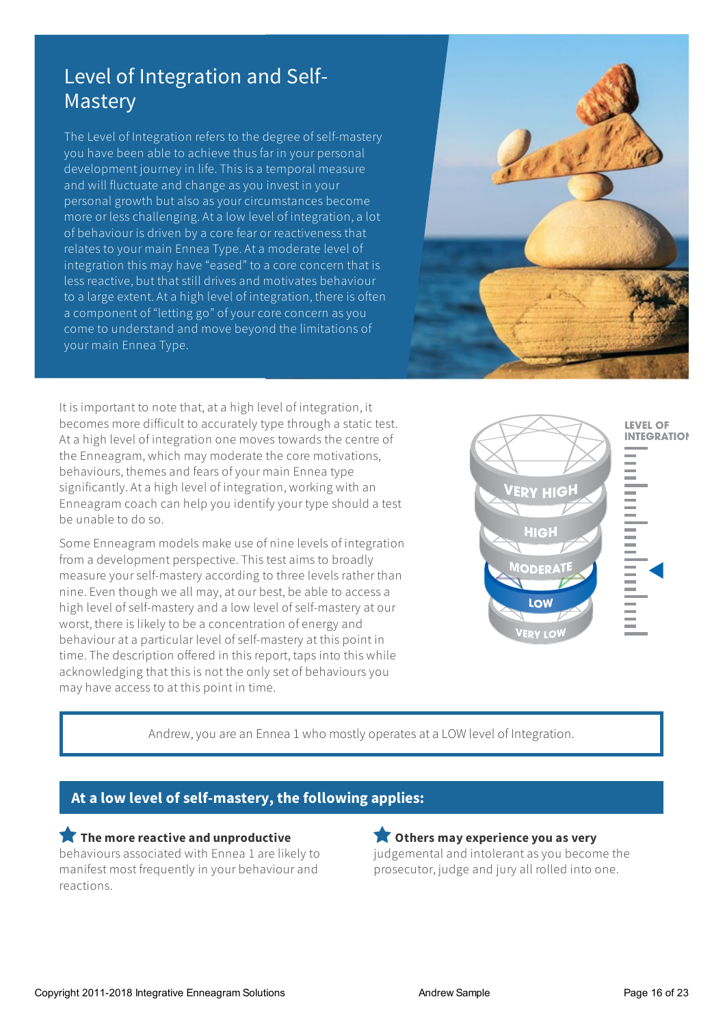# Level of Integration and Self-Mastery

The Level of Integration refers to the degree of self-mastery you have been able to achieve thus far in your personal development journey in life. This is a temporal measure and will fluctuate and change as you invest in your personal growth but also as your circumstances become more or less challenging. Ata low level of integration,a lot of behaviour is driven by a core fear or reactiveness that relates to your main Ennea Type. Ata moderate level of integration this may have "eased" to a core concern that is less reactive, but that still drives and motivates behaviour to a large extent. Ata high level of integration, there is often a component of "letting go" ofyourcore concern as you come to understand and move beyond the limitations of your main Ennea Type.



It is important to note that,ata high level of integration, it becomes more difficult to accurately type through a static test. Ata high level of integration one moves towards the centre of the Enneagram, which may moderate the core motivations, behaviours, themes and fears of your main Ennea type significantly. Ata high level of integration, working with an Enneagram coach can help you identify your type should a test be unable to do so.

Some Enneagram models make use of nine levels of integration from a development perspective. This testaims to broadly measure your self-mastery according to three levels rather than nine. Even though we all may, at our best, be able to access a high level of self-mastery and a low level of self-mastery at our worst, there is likely to be a concentration ofenergy and behaviourata particular level of self-mastery at this point in time. The description offered in this report, taps into this while acknowledging that this is not the only set of behaviours you may have access to at this point in time.



Andrew, you are an Ennea 1 who mostly operates at a LOW level of Integration.

# **At a low level of self-mastery, the following applies:**

 **The more reactive and unproductive** behaviours associated with Ennea 1 are likely to manifest most frequently in your behaviourand reactions.

#### **Others may experience you as very**

judgemental and intolerant as you become the prosecutor, judge and jury all rolled into one.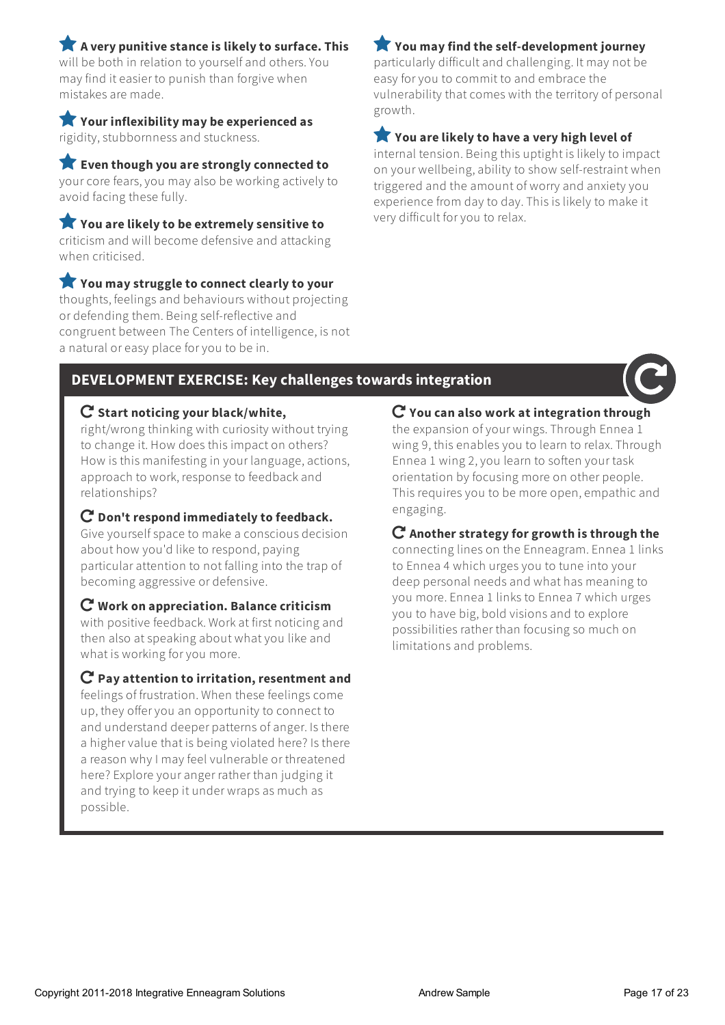**A very punitive stance is likely to surface. This** will be both in relation to yourselfand others.You may find iteasier to punish than forgive when

 **Your inflexibility may be experienced as** rigidity, stubbornnessand stuckness.

mistakes are made.

 **Even though you are strongly connected to** yourcore fears,you may also be working actively to avoid facing these fully.

 **You are likely to be extremely sensitive to** criticism and will become defensive and attacking when criticised.

 **You may struggle to connect clearly to your** thoughts, feelings and behaviours without projecting or defending them. Being self-reflective and congruent between The Centers of intelligence, is not a natural oreasy place foryou to be in.

# **You may find the self-development journey**

particularly difficult and challenging. It may not be easy foryou to commit to and embrace the vulnerability that comes with the territory of personal growth.

### **You are likely to have a very high level of**

internal tension. Being this uptight is likely to impact on your wellbeing,ability to show self-restraint when triggered and the amount of worry and anxiety you experience from day to day. This is likely to make it very difficult foryou to relax.

# **DEVELOPMENT EXERCISE: Key challengestowardsintegration**



right/wrong thinking with curiosity without trying to change it. How does this impact on others? How is this manifesting in your language, actions, approach to work, response to feedback and relationships?

#### **Don't respond immediately to feedback.**

Give yourself space to make a conscious decision about how you'd like to respond, paying particularattention to not falling into the trap of becoming aggressive or defensive.

#### **Work on appreciation. Balance criticism**

with positive feedback. Workat first noticing and then also at speaking about whatyou like and what is working foryou more.

#### **Pay attention to irritation, resentment and**

feelings of frustration. When these feelings come up, they offeryou an opportunity to connect to and understand deeper patterns of anger. Is there a highervalue that is being violated here? Is there a reason why I may feel vulnerable or threatened here? Explore youranger rather than judging it and trying to keep it under wraps as much as possible.

**You can also work at integration through**

the expansion ofyour wings. Through Ennea 1 wing 9, this enables you to learn to relax. Through Ennea 1 wing 2,you learn to soften your task orientation by focusing more on other people. This requires you to be more open, empathic and engaging.

#### **Another strategy for growth is through the**

connecting lines on the Enneagram. Ennea 1 links to Ennea 4 which urges you to tune into your deep personal needsand what has meaning to you more. Ennea 1 links to Ennea 7 which urges you to have big, bold visions and to explore possibilities rather than focusing so much on limitations and problems.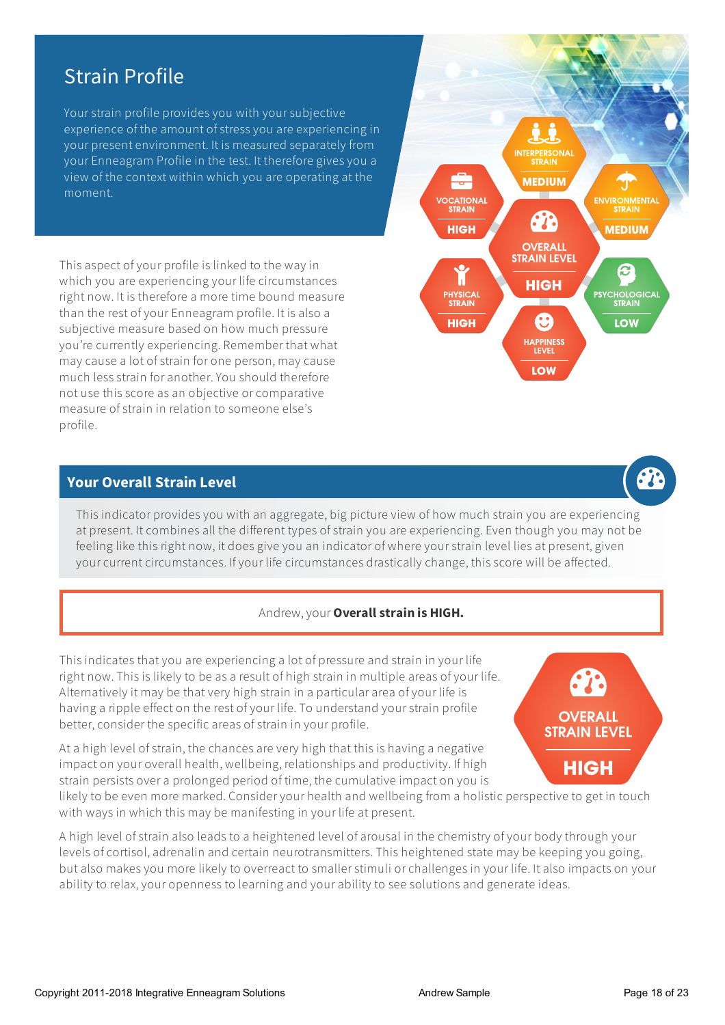# Strain Profile

Your strain profile provides you with your subjective experience of the amount of stress you are experiencing in your present environment. It is measured separately from your Enneagram Profile in the test. It therefore gives you a view of the context within which you are operating at the moment.

Thisaspect ofyour profile is linked to the way in which you are experiencing your life circumstances right now. It is therefore a more time bound measure than the rest of your Enneagram profile. It is also a subjective measure based on how much pressure you're currently experiencing. Remember that what may cause a lot of strain for one person, may cause much less strain foranother.You should therefore not use this score as an objective or comparative measure of strain in relation to someone else's profile.

#### **Your Overall Strain Level**

This indicator provides you with an aggregate, big picture view of how much strain you are experiencing at present. It combines all the different types of strain you are experiencing. Even though you may not be feeling like this right now, it does give you an indicator of where your strain level lies at present, given your current circumstances. If your life circumstances drastically change, this score will be affected.

#### Andrew,your **Overallstrain is HIGH.**

This indicates thatyou are experiencing a lot of pressure and strain in your life right now. This is likely to be as a result of high strain in multiple areas of your life. Alternatively it may be that very high strain in a particular area of your life is having a ripple effect on the rest ofyour life. To understand your strain profile better, consider the specific areas of strain in your profile.

At a high level of strain, the chances are very high that this is having a negative impact on your overall health, wellbeing, relationships and productivity. If high strain persists overa prolonged period of time, the cumulative impact on you is

likely to be even more marked. Consider your health and wellbeing from a holistic perspective to get in touch with ways in which this may be manifesting in your life at present.

A high level of strain also leads to a heightened level of arousal in the chemistry of your body through your levels of cortisol, adrenalin and certain neurotransmitters. This heightened state may be keeping you going, butalso makes you more likely to overreact to smaller stimuli orchallenges in your life. Italso impacts on your ability to relax, your openness to learning and your ability to see solutions and generate ideas.





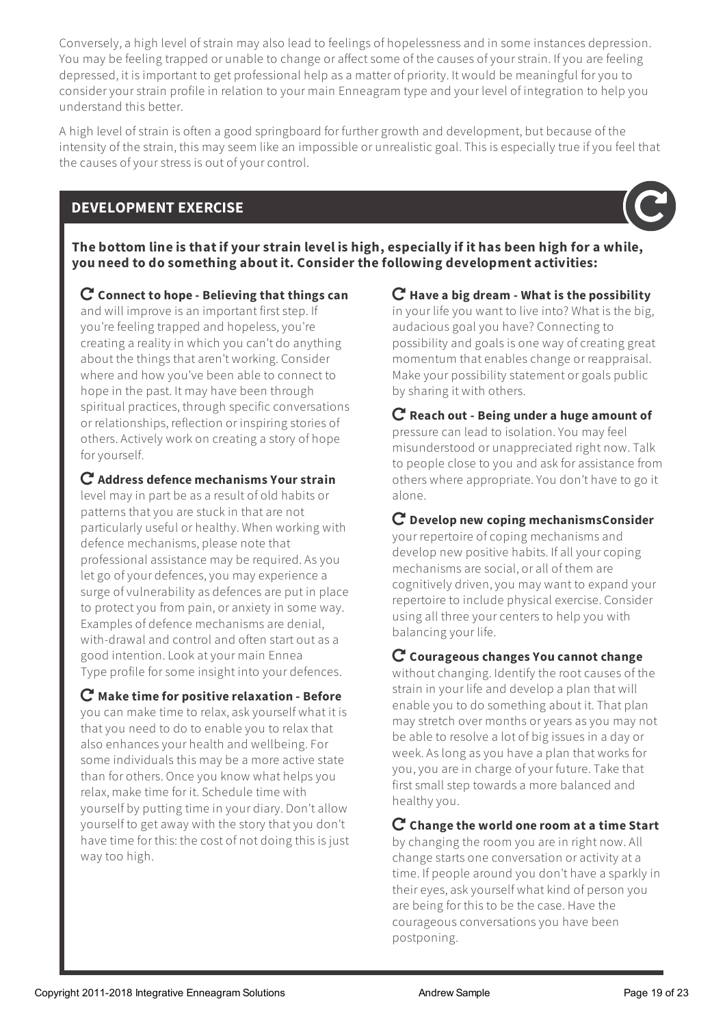Conversely,a high level of strain may also lead to feelings of hopelessnessand in some instances depression. You may be feeling trapped or unable to change or affect some of the causes of your strain. If you are feeling depressed, it is important to get professional help asa matter of priority. It would be meaningful foryou to consideryour strain profile in relation to your main Enneagram type and your level of integration to help you understand this better.

A high level of strain is often a good springboard for furthergrowth and development, but because of the intensity of the strain, this may seem like an impossible or unrealistic goal. This is especially true if you feel that the causes of your stress is out of your control.

# **DEVELOPMENT EXERCISE**



The bottom line is that if your strain level is high, especially if it has been high for a while, **you need to do something about it. Consider the following development activities:**

 **Connect to hope - Believing that things can** and will improve is an important first step. If you're feeling trapped and hopeless,you're creating a reality in which you can't do anything about the things that aren't working. Consider where and how you've been able to connect to hope in the past. It may have been through spiritual practices, through specific conversations or relationships, reflection or inspiring stories of others. Actively work on creating a story of hope for vourself.

**Address defence mechanisms Your strain**

level may in part be as a result of old habits or patterns that you are stuck in that are not particularly useful or healthy. When working with defence mechanisms, please note that professionalassistance may be required. As you let go of your defences, you may experience a surge of vulnerability as defences are put in place to protect you from pain, or anxiety in some way. Examples of defence mechanisms are denial, with-drawal and control and often start out as a good intention.Lookatyour main Ennea Type profile for some insight into your defences.

 **Make time for positive relaxation - Before** you can make time to relax, ask yourself what it is thatyou need to do to enable you to relax that also enhances your health and wellbeing.For some individuals this may be a more active state than for others. Once you know what helps you relax, make time for it. Schedule time with yourself by putting time in your diary. Don'tallow yourself to get away with the story that you don't have time for this: the cost of not doing this is just way too high.

**Have a big dream - What is the possibility**

in your life you want to live into? What is the big, audacious goal you have? Connecting to possibility and goals is one way of creating great momentum that enables change or reappraisal. Make your possibility statement or goals public by sharing it with others.

 **Reach out - Being under a huge amount of** pressure can lead to isolation.You may feel misunderstood or unappreciated right now. Talk to people close to you and ask for assistance from others where appropriate.You don't have to go it alone.

**Develop new coping mechanismsConsider**

your repertoire of coping mechanisms and develop new positive habits. If all your coping mechanismsare social, orall of them are cognitively driven,you may want to expand your repertoire to include physical exercise. Consider using all three your centers to help you with balancing your life.

# **Courageous changes You cannot change**

without changing. Identify the root causes of the strain in your life and develop a plan that will enable you to do something about it. That plan may stretch over months or years as you may not be able to resolve a lot of big issues in a day or week. As long as you have a plan that works for you, you are in charge of your future. Take that first small step towards a more balanced and healthy you.

## **Change the world one room at a time Start**

by changing the room you are in right now. All change starts one conversation or activity at a time. If people around you don't have a sparkly in their eyes, ask yourself what kind of person you are being for this to be the case. Have the courageous conversations you have been postponing.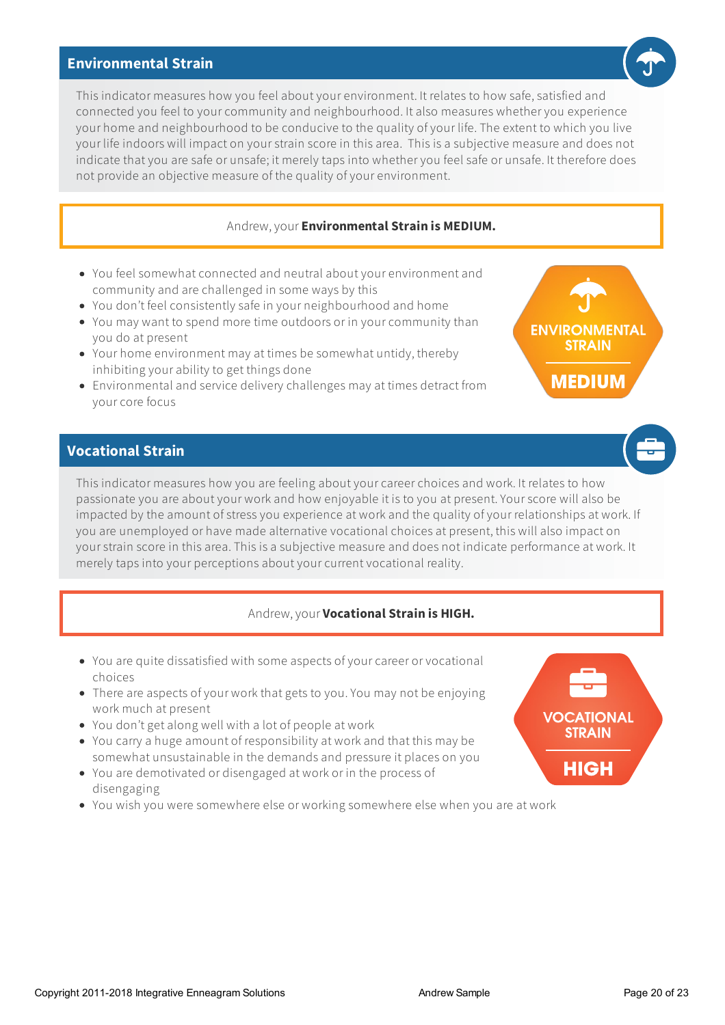#### **Environmental Strain**

This indicator measures how you feel about your environment. It relates to how safe, satisfied and connected you feel to yourcommunity and neighbourhood. Italso measures whetheryou experience your home and neighbourhood to be conducive to the quality ofyour life. The extent to which you live your life indoors will impact on your strain score in this area. This is a subjective measure and does not indicate that you are safe or unsafe; it merely taps into whether you feel safe or unsafe. It therefore does not provide an objective measure of the quality of your environment.

#### Andrew,your **Environmental Strain is MEDIUM.**

- You feel somewhat connected and neutral about your environment and community and are challenged in some ways by this
- You don't feel consistently safe in your neighbourhood and home
- You may want to spend more time outdoors or in yourcommunity than you do at present
- Your home environment may at times be somewhat untidy, thereby inhibiting yourability to get things done
- Environmentaland service delivery challenges may at times detract from yourcore focus

# **Vocational Strain**

This indicator measures how you are feeling about your career choices and work. It relates to how passionate you are about your work and how enjoyable it is to you at present. Your score will also be impacted by the amount of stress you experience at work and the quality of your relationships at work. If you are unemployed or have made alternative vocational choicesat present, this willalso impact on your strain score in this area. This is a subjective measure and does not indicate performance at work. It merely taps into your perceptions about your current vocational reality.

#### Andrew,your **Vocational Strain is HIGH.**

- You are quite dissatisfied with some aspects of your career or vocational choices
- There are aspects of your work that gets to you. You may not be enjoying work much at present
- You don'tgetalong well with a lot of people at work
- You carry a huge amount of responsibility at workand that this may be somewhat unsustainable in the demandsand pressure it places on you
- You are demotivated or disengaged at work or in the process of disengaging
- You wish you were somewhere else or working somewhere else when you are at work







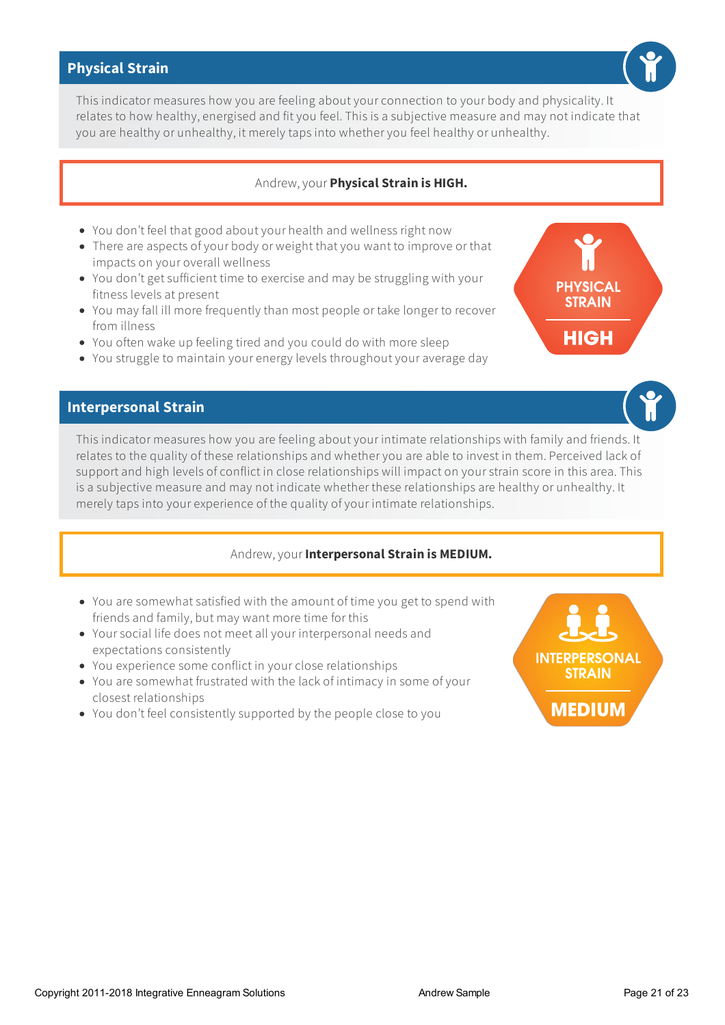### **Physical Strain**

This indicator measures how you are feeling aboutyourconnection to your body and physicality. It relates to how healthy, energised and fit you feel. This is a subjective measure and may not indicate that you are healthy or unhealthy, it merely taps into whetheryou feel healthy or unhealthy.

#### Andrew,your **Physical Strain is HIGH.**

- You don't feel thatgood aboutyour health and wellness right now
- There are aspects of your body or weight that you want to improve or that impacts on your overall wellness
- You don't get sufficient time to exercise and may be struggling with your fitness levels at present
- You may fall ill more frequently than most people or take longer to recover from illness
- You often wake up feeling tired and you could do with more sleep
- You struggle to maintain your energy levels throughout your average day

#### **Interpersonal Strain**

This indicator measures how you are feeling about your intimate relationships with family and friends. It relates to the quality of these relationships and whether you are able to invest in them. Perceived lack of support and high levels of conflict in close relationships will impact on your strain score in this area. This is a subjective measure and may not indicate whether these relationships are healthy or unhealthy. It merely taps into your experience of the quality of your intimate relationships.

#### Andrew,your **Interpersonal Strain is MEDIUM.**

- You are somewhat satisfied with the amount of time you get to spend with friends and family, but may want more time for this
- Your social life does not meetall your interpersonal needsand expectations consistently
- You experience some conflict in your close relationships
- You are somewhat frustrated with the lack of intimacy in some ofyour closest relationships
- You don't feel consistently supported by the people close to you





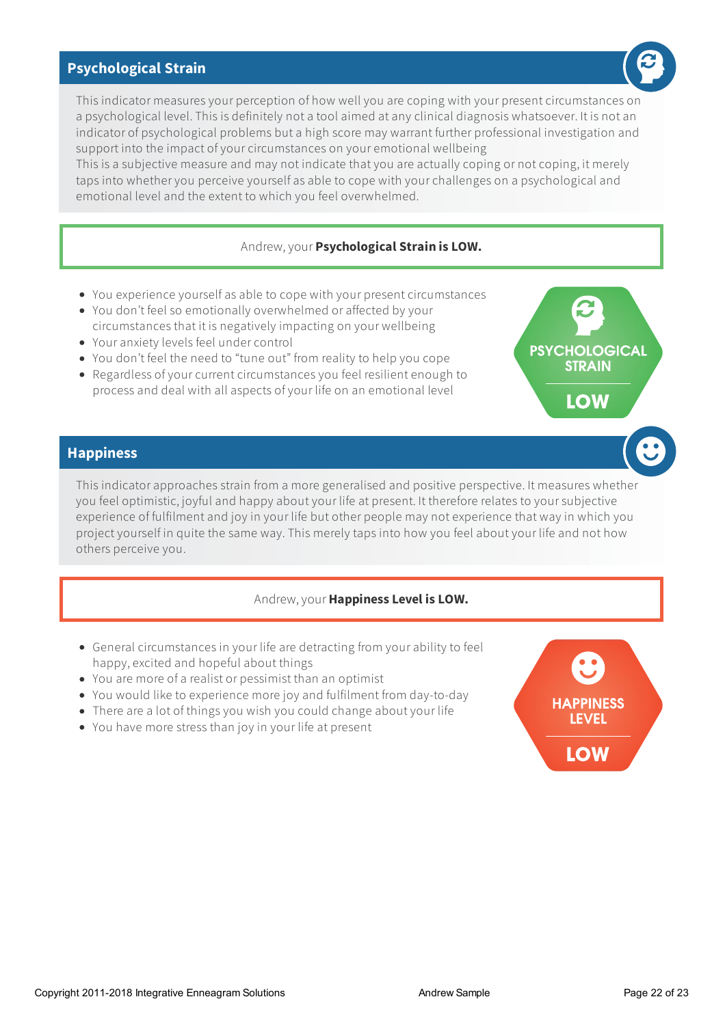### **Psychological Strain**

This indicator measures your perception of how well you are coping with your present circumstances on a psychological level. This is definitely not a tool aimed at any clinical diagnosis whatsoever. It is not an indicator of psychological problems buta high score may warrant further professional investigation and support into the impact of your circumstances on your emotional wellbeing

This is a subjective measure and may not indicate that you are actually coping or not coping, it merely taps into whether you perceive yourself as able to cope with your challenges on a psychological and emotional level and the extent to which you feel overwhelmed.

#### Andrew,your **Psychological Strain is LOW.**

- You experience yourself as able to cope with your present circumstances
- You don't feel so emotionally overwhelmed oraffected by your circumstances that it is negatively impacting on your wellbeing
- Youranxiety levels feel undercontrol
- You don't feel the need to "tune out" from reality to help you cope
- Regardless of your current circumstances you feel resilient enough to process and deal with all aspects of your life on an emotional level

#### **Happiness**

This indicatorapproaches strain from a more generalised and positive perspective. It measures whether you feel optimistic, joyful and happy about your life at present. It therefore relates to your subjective experience of fulfilment and joy in your life but other people may not experience that way in which you project yourself in quite the same way. This merely taps into how you feel about your life and not how others perceive you.

#### Andrew,your **Happiness Level is LOW.**

- General circumstances in your life are detracting from yourability to feel happy, excited and hopeful about things
- You are more of a realist or pessimist than an optimist
- You would like to experience more joy and fulfilment from day-to-day
- There are a lot of things you wish you could change aboutyour life
- You have more stress than joy in your life at present